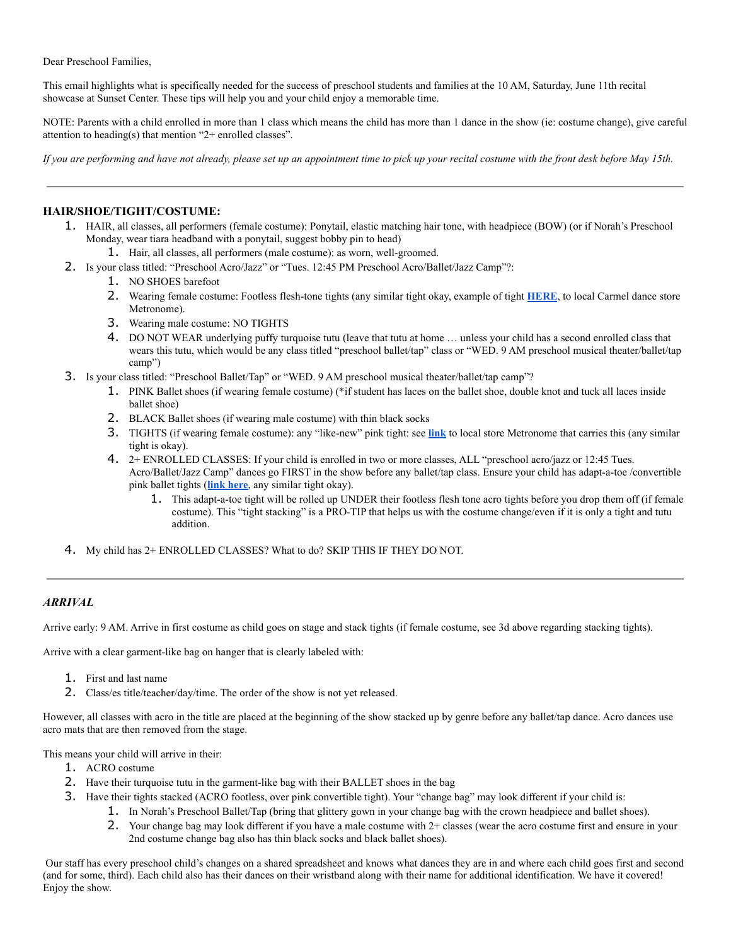Dear Preschool Families,

This email highlights what is specifically needed for the success of preschool students and families at the 10 AM, Saturday, June 11th recital showcase at Sunset Center. These tips will help you and your child enjoy a memorable time.

NOTE: Parents with a child enrolled in more than 1 class which means the child has more than 1 dance in the show (ie: costume change), give careful attention to heading(s) that mention "2+ enrolled classes".

*If you are performing and have not already, please set up an appointment time to pick up your recital costume with the front desk before May 15th.*

# **HAIR/SHOE/TIGHT/COSTUME:**

1. HAIR, all classes, all performers (female costume): Ponytail, elastic matching hair tone, with headpiece (BOW) (or if Norah's Preschool Monday, wear tiara headband with a ponytail, suggest bobby pin to head)

1. Hair, all classes, all performers (male costume): as worn, well-groomed.

- 2. Is your class titled: "Preschool Acro/Jazz" or "Tues. 12:45 PM Preschool Acro/Ballet/Jazz Camp"?:
	- 1. NO SHOES barefoot
	- 2. Wearing female costume: Footless flesh-tone tights (any similar tight okay, example of tight **[HERE](https://www.zearly.com/collections/child/products/bloch-footless-tights-child-t0940g)**, to local Carmel dance store Metronome).
	- 3. Wearing male costume: NO TIGHTS
	- 4. DO NOT WEAR underlying puffy turquoise tutu (leave that tutu at home … unless your child has a second enrolled class that wears this tutu, which would be any class titled "preschool ballet/tap" class or "WED. 9 AM preschool musical theater/ballet/tap camp")
- 3. Is your class titled: "Preschool Ballet/Tap" or "WED. 9 AM preschool musical theater/ballet/tap camp"?
	- 1. PINK Ballet shoes (if wearing female costume) (\*if student has laces on the ballet shoe, double knot and tuck all laces inside ballet shoe)
	- 2. BLACK Ballet shoes (if wearing male costume) with thin black socks
	- 3. TIGHTS (if wearing female costume): any "like-new" pink tight: see **[link](https://www.zearly.com/collections/child/products/bloch-endura-footed-tights-child-t0921g)** to local store Metronome that carries this (any similar tight is okay).
	- 4. 2+ ENROLLED CLASSES: If your child is enrolled in two or more classes, ALL "preschool acro/jazz or 12:45 Tues. Acro/Ballet/Jazz Camp" dances go FIRST in the show before any ballet/tap class. Ensure your child has adapt-a-toe /convertible pink ballet tights (**[link here](https://www.zearly.com/collections/child/products/bloch-endura-adaptatoe-tights-child-t0935g)**, any similar tight okay).
		- 1. This adapt-a-toe tight will be rolled up UNDER their footless flesh tone acro tights before you drop them off (if female costume). This "tight stacking" is a PRO-TIP that helps us with the costume change/even if it is only a tight and tutu addition.
- 4. My child has 2+ ENROLLED CLASSES? What to do? SKIP THIS IF THEY DO NOT.

### *ARRIVAL*

Arrive early: 9 AM. Arrive in first costume as child goes on stage and stack tights (if female costume, see 3d above regarding stacking tights).

Arrive with a clear garment-like bag on hanger that is clearly labeled with:

- 1. First and last name
- 2. Class/es title/teacher/day/time. The order of the show is not yet released.

However, all classes with acro in the title are placed at the beginning of the show stacked up by genre before any ballet/tap dance. Acro dances use acro mats that are then removed from the stage.

This means your child will arrive in their:

- 1. ACRO costume
- 2. Have their turquoise tutu in the garment-like bag with their BALLET shoes in the bag
- 3. Have their tights stacked (ACRO footless, over pink convertible tight). Your "change bag" may look different if your child is:
	- 1. In Norah's Preschool Ballet/Tap (bring that glittery gown in your change bag with the crown headpiece and ballet shoes).
		- 2. Your change bag may look different if you have a male costume with  $2+$  classes (wear the acro costume first and ensure in your 2nd costume change bag also has thin black socks and black ballet shoes).

Our staff has every preschool child's changes on a shared spreadsheet and knows what dances they are in and where each child goes first and second (and for some, third). Each child also has their dances on their wristband along with their name for additional identification. We have it covered! Enjoy the show.